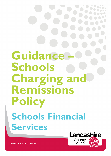# **Guidance – Schools Charging and Remissions Policy Schools Financial Services**



www.lancashire.gov.uk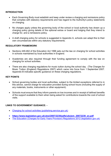# **INTRODUCTION**

- Each Governing Body must establish and keep under review a charging and remissions policy that complies with statutory requirements and has regard to the Authority's policy statements on charging.
- No charges apply unless the governing body of the school or local authority has drawn up a charging policy giving details of the optional extras or board and lodging that they intend to charge for, and a remissions policy.
- A draft charging policy for schools is suggested in Appendix A, schools can adapt this to their own circumstances within any statutory requirements.

## **REGULATORY FRAMEWORK**

- Sections 449-462 of the Education Act 1996 sets out the law on charging for school activities in schools maintained by local authorities in England.
- Academies are also required through their funding agreement to comply with the law on charging for school activities.
- There are also charging regulations for music tuition during the school day. (The Charges for Music Tuition (England) Regulations 2007) which came into force from 1 September 2007. Appendix B indicates specific guidance on these charging regulations.

# **KEY POINTS**

- School governing bodies and local authorities, subject to the limited exceptions referred to in this advice, cannot charge for education provided during school hours (including the supply of any materials, books, instruments or other equipment).
- Schools must ensure that they inform parents on low incomes and in receipt of defined benefits of the support available to them when being asked for contributions towards the cost of school visits.

# **LINKS TO GOVERNMENT GUIDANCE: -**

- [Charging for school activities \(publishing.service.gov.uk\)](https://assets.publishing.service.gov.uk/government/uploads/system/uploads/attachment_data/file/706830/Charging_for_school_activities.pdf)
- **[https://www.legislation.gov.uk/uksi/2007/2239/pdfs/uksiem\\_20072239\\_en.pdf](https://www.legislation.gov.uk/uksi/2007/2239/pdfs/uksiem_20072239_en.pdf)**
- The [Education \(Charges for Early Years Provision\) Regulations 2012 \(legislation.gov.uk\)](https://www.legislation.gov.uk/uksi/2012/962/regulation/2/made#f00003)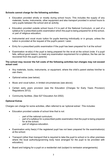# **Schools cannot charge for the following activities:**

- Education provided wholly or mostly during school hours. This includes the supply of any materials, books, instruments, other equipment and also transport provided in school hours to carry pupils between the school and an activity;
- Education provided outside school hours if it is part of the National Curriculum, or part of a syllabus for a prescribed public examination which the pupil is being prepared for at the school, or part of religious education;
- Instrumental and vocal music tuition for pupils learning individually or in groups, unless the tuition is provided at the request of the pupil's parent / carer.
- Entry for a prescribed public examination if the pupil has been prepared for it at the school
- Examination re-sit(s) if the pupil is being prepared for the re-sit at the school (note: if a pupil fails, without good reason, to meet any examination requirement for a syllabus, the fee can be recovered from the pupil's parents)

## **The school may recover the full costs of the following activities but charges may not exceed actual cost:**

- Any materials, books, instruments, or equipment, where the child's parent wishes him/her to own them;
- Optional extras (see below);
- Music and vocal tuition, in limited circumstances (see above);
- Certain early years provision (see the Education (Charges for Early Years Provision) Regulations 2012);
- Community facilities. (See S27 Education Act 2002).

# **Optional Extras**

Charges can charge for some activities, often referred to as 'optional extras'. This includes:

- Education provided outside of school time that is not:
	- part of the national curriculum;
	- part of a syllabus for a prescribed public examination that the pupil is being prepared for at the school;
	- part of religious education.
- Examination entry fee(s) if the registered pupil has not been prepared for the examination(s) at the school;
- Transport (other than transport that is required to take the pupil to school or to other premises where the local authority/governing body have arranged for the pupil to be provided with education);
- Board and lodging for a pupil on a residential visit (subject to remission arrangements);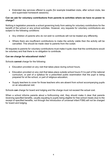• Extended day services offered to pupils (for example breakfast clubs, after school clubs, tea and supervised homework sessions).

#### **Can we ask for voluntary contributions from parents to activities where we have no power to charge?**

Nothing in legislation prevents a school governing body from asking for voluntary contributions for the benefit of the school or any school activities. However, any requests for voluntary contributions are subject to the following conditions:

- Any children of parents who do not wish to contribute will not be treated any differently;
- Where there are insufficient contributions to make the activity viable then the activity will be cancelled. This should be made clear to parents from the outset.

All requests to parents for voluntary contributions must make it quite clear that the contributions would be voluntary and that there is no obligation to contribute.

## **Can we charge for educational visits?**

Schools **cannot** charge for the following:

- Education provided on any visit that takes place during school hours;
- Education provided on any visit that takes place outside school hours if it is part of the national curriculum, or part of a syllabus for a prescribed public examination that the pupil is being prepared for at the school, or part of religious education;
- Supply teachers to cover for those teachers who are absent from school accompanying pupils on an educational visit.

Schools **can** charge for board and lodging and the charge must not exceed the actual cost.

When a school informs parents about a forthcoming visit, they should make it clear that parents receiving specified benefits, usually equating to pupils being eligible for free school meals (due to the receipt of specified benefits, not through the introduction of universal infant FSM) will not be charged for board and lodging.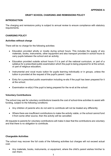## **DRAFT SCHOOL CHARGING AND REMISSIONS POLICY**

#### **INTRODUCTION**

The charging and remissions policy is subject to annual review to ensure compliance with statutory requirements.

#### **CHARGING POLICY**

#### **Activities without charge**

There will be no charge for the following activities:

- Education provided wholly or mostly during school hours. This includes the supply of any materials, books, instruments, other equipment and also transport provided in school hours to carry pupils between the school and an activity;
- Education provided outside school hours if it is part of the national curriculum, or part of a syllabus for a prescribed public examination which the pupil is being prepared for at the school, or part of religious education;
- Instrumental and vocal music tuition for pupils learning individually or in groups, unless the tuition is provided at the request of the pupil's parent / carer.
- Entry for a prescribed public examination including re-sits if the pupil has been prepared for it at the school;
- Examination re-sit(s) if the pupil is being prepared for the re-sit at the school.

#### **Voluntary Contributions**

The school may ask for voluntary contributions towards the cost of school-time activities to assist with funding, subject to the following conditions:

- Any children of parents who do not wish to contribute will not be treated any differently;
- Where there are insufficient contributions to make the activity viable, or the school cannot fund it from some other source, then the activity will be cancelled.

All requests to parents for voluntary contributions will make it clear that the contributions are voluntary and that there is no obligation to contribute.

#### **Chargeable Activities**

The school may recover the full costs of the following activities but charges will not exceed actual cost:

• Any materials, books, instruments, or equipment, where the child's parent wishes him/her to own them;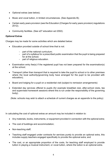- Optional extras (see below);
- Music and vocal tuition, in limited circumstances. (See Appendix B);
- Certain early years provision (see the Education (Charges for early years provision) regulations 2012);
- Community facilities. (See s27 education act 2002).

# **Optional Extras**

Charges may be made for some activities which are detailed below:

- Education provided outside of school time that is not:
	- part of the national curriculum;
	- part of a syllabus for a prescribed public examination that the pupil is being prepared for at the school;
	- part of religious education.
- Examination entry fee(s) if the registered pupil has not been prepared for the examination(s) at the school;
- Transport (other than transport that is required to take the pupil to school or to other premises where the local authority/governing body have arranged for the pupil to be provided with education);
- Board and lodging for a pupil on a residential visit (subject to remission arrangements)
- Extended day services offered to pupils (for example breakfast club, after-school clubs, tea and supervised homework sessions where this is run under the responsibility of the governing body).

(Note: schools may wish to attach a schedule of current charges as an appendix to the policy)

In calculating the cost of optional extras an amount may be included in relation to:

- Any materials, books, instruments, or equipment provided in connection with the optional extra;
- The cost of buildings and accommodation;
- Non-teaching staff;
- Teaching staff engaged under contracts for services purely to provide an optional extra, this includes supply teachers engaged specifically to provide the optional extra; and
- The cost, or an appropriate proportion of the costs, for teaching staff employed to provide tuition in playing a musical instrument, or vocal tuition, where the tuition is an optional extra.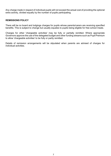Any charge made in respect of individual pupils will not exceed the actual cost of providing the optional extra activity, divided equally by the number of pupils participating.

#### **REMISSIONS POLICY**

There will be no board and lodgings charges for pupils whose parents/carers are receiving specified benefits. This is subject to change but usually equates to pupils being eligible for free school meals.

Charges for other 'chargeable activities' may be fully or partially remitted. Where appropriate Governors approve the use of the delegated budget and other funding streams such as Pupil Premium to allow 'chargeable activities' to be fully or partly remitted.

Details of remission arrangements will be stipulated when parents are advised of charges for individual activities.